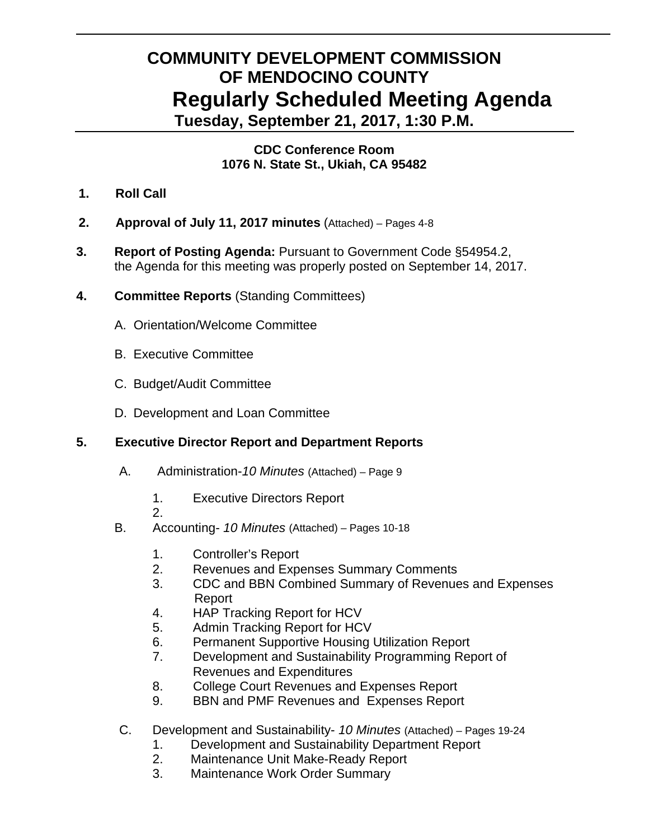# **COMMUNITY DEVELOPMENT COMMISSION OF MENDOCINO COUNTY Regularly Scheduled Meeting Agenda Tuesday, September 21, 2017, 1:30 P.M.**

#### **CDC Conference Room 1076 N. State St., Ukiah, CA 95482**

- **1. Roll Call**
- **2. Approval of July 11, 2017 minutes** (Attached) Pages 4-8
- **3. Report of Posting Agenda:** Pursuant to Government Code §54954.2, the Agenda for this meeting was properly posted on September 14, 2017.
- **4. Committee Reports** (Standing Committees)
	- A.Orientation/Welcome Committee
	- B. Executive Committee
	- C. Budget/Audit Committee
	- D. Development and Loan Committee

## **5. Executive Director Report and Department Reports**

- A. Administration-*10 Minutes* (Attached) Page 9
	- 1. Executive Directors Report
	- 2.
- B. Accounting- *10 Minutes* (Attached) Pages 10-18
	- 1. Controller's Report
	- 2. Revenues and Expenses Summary Comments
	- 3. CDC and BBN Combined Summary of Revenues and Expenses Report
	- 4. HAP Tracking Report for HCV
	- 5. Admin Tracking Report for HCV
	- 6. Permanent Supportive Housing Utilization Report
	- 7. Development and Sustainability Programming Report of Revenues and Expenditures
	- 8. College Court Revenues and Expenses Report
	- 9. BBN and PMF Revenues and Expenses Report
- C. Development and Sustainability- *10 Minutes* (Attached) Pages 19-24
	- 1. Development and Sustainability Department Report
	- 2. Maintenance Unit Make-Ready Report
	- 3. Maintenance Work Order Summary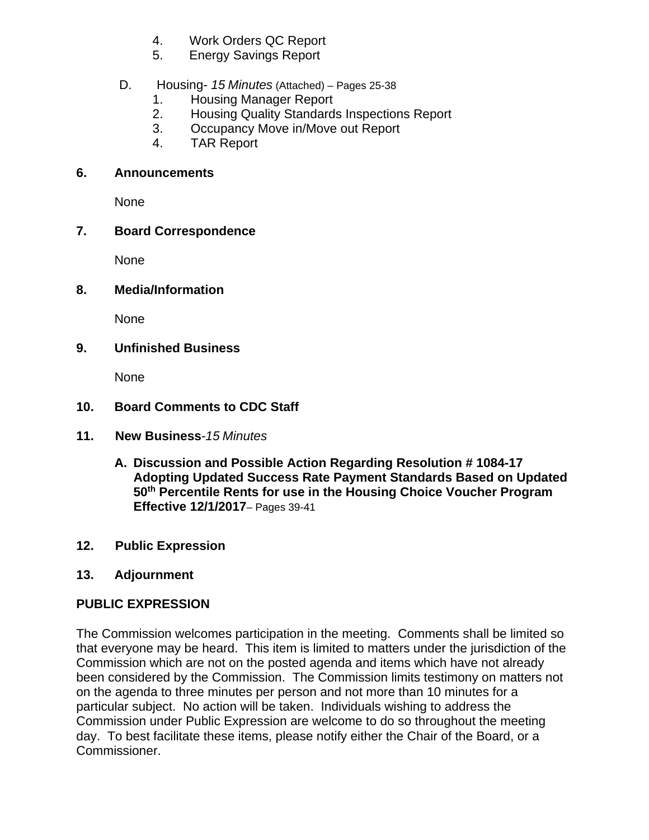- 4. Work Orders QC Report
- 5. Energy Savings Report

## D. Housing- *15 Minutes* (Attached) *–* Pages 25-38

- 1. Housing Manager Report
- 2. Housing Quality Standards Inspections Report
- 3. Occupancy Move in/Move out Report
- 4. TAR Report

#### **6. Announcements**

None

## **7. Board Correspondence**

None

#### **8. Media/Information**

None

## **9. Unfinished Business**

None

## **10. Board Comments to CDC Staff**

- **11. New Business***-15 Minutes*
	- **A. Discussion and Possible Action Regarding Resolution # 1084-17 Adopting Updated Success Rate Payment Standards Based on Updated 50th Percentile Rents for use in the Housing Choice Voucher Program Effective 12/1/2017**– Pages 39-41
- **12. Public Expression**

## **13. Adjournment**

## **PUBLIC EXPRESSION**

The Commission welcomes participation in the meeting. Comments shall be limited so that everyone may be heard. This item is limited to matters under the jurisdiction of the Commission which are not on the posted agenda and items which have not already been considered by the Commission. The Commission limits testimony on matters not on the agenda to three minutes per person and not more than 10 minutes for a particular subject. No action will be taken. Individuals wishing to address the Commission under Public Expression are welcome to do so throughout the meeting day. To best facilitate these items, please notify either the Chair of the Board, or a Commissioner.